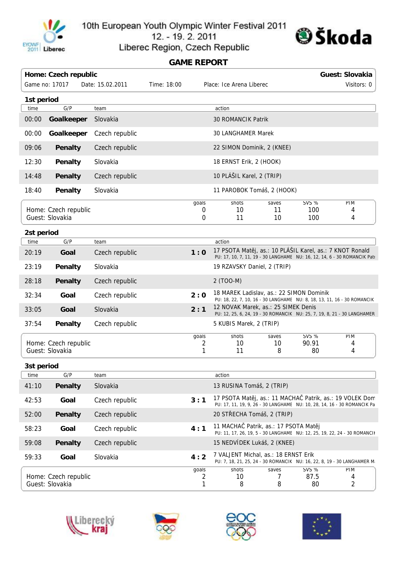

10th European Youth Olympic Winter Festival 2011 12. - 19. 2. 2011



Liberec Region, Czech Republic

## **GAME REPORT**

|                                         | Home: Czech republic                    |                  |                                         |                  |                                                                                                                                                                                           |                     |               | <b>Guest: Slovakia</b> |  |  |  |  |
|-----------------------------------------|-----------------------------------------|------------------|-----------------------------------------|------------------|-------------------------------------------------------------------------------------------------------------------------------------------------------------------------------------------|---------------------|---------------|------------------------|--|--|--|--|
|                                         | Game no: 17017                          | Date: 15.02.2011 | Time: 18:00<br>Place: Ice Arena Liberec |                  |                                                                                                                                                                                           |                     |               | Visitors: 0            |  |  |  |  |
| 1st period                              |                                         |                  |                                         |                  |                                                                                                                                                                                           |                     |               |                        |  |  |  |  |
| time                                    | G/P                                     | team             |                                         |                  | action                                                                                                                                                                                    |                     |               |                        |  |  |  |  |
| 00:00                                   | Goalkeeper                              | Slovakia         |                                         |                  | 30 ROMANCIK Patrik                                                                                                                                                                        |                     |               |                        |  |  |  |  |
| 00:00                                   | Goalkeeper                              | Czech republic   |                                         |                  | 30 LANGHAMER Marek                                                                                                                                                                        |                     |               |                        |  |  |  |  |
| 09:06                                   | <b>Penalty</b>                          | Czech republic   | 22 SIMON Dominik, 2 (KNEE)              |                  |                                                                                                                                                                                           |                     |               |                        |  |  |  |  |
| 12:30                                   | Penalty                                 | Slovakia         | 18 ERNST Erik, 2 (HOOK)                 |                  |                                                                                                                                                                                           |                     |               |                        |  |  |  |  |
| 14:48                                   | <b>Penalty</b>                          | Czech republic   |                                         |                  | 10 PLÁŠIL Karel, 2 (TRIP)                                                                                                                                                                 |                     |               |                        |  |  |  |  |
| 18:40                                   | <b>Penalty</b>                          | Slovakia         |                                         |                  | 11 PAROBOK Tomáš, 2 (HOOK)                                                                                                                                                                |                     |               |                        |  |  |  |  |
|                                         |                                         |                  |                                         | goals            | shots                                                                                                                                                                                     | saves               | <b>SVS %</b>  | PIM                    |  |  |  |  |
|                                         | Home: Czech republic<br>Guest: Slovakia |                  |                                         | 0<br>0           | 10<br>11                                                                                                                                                                                  | 11<br>10            | 100<br>100    | 4<br>4                 |  |  |  |  |
|                                         |                                         |                  |                                         |                  |                                                                                                                                                                                           |                     |               |                        |  |  |  |  |
| 2st period<br>time                      | G/P                                     | team             |                                         |                  | action                                                                                                                                                                                    |                     |               |                        |  |  |  |  |
| 20:19                                   | Goal                                    | Czech republic   |                                         | 1:0              | 17 PSOTA Mat j, as.: 10 PLÁŠIL Karel, as.: 7 KNOT Ronald<br>PU: 17, 10, 7, 11, 19 - 30 LANGHAME NU: 16, 12, 14, 6 - 30 ROMANCIK Patr                                                      |                     |               |                        |  |  |  |  |
| 23:19                                   | <b>Penalty</b>                          | Slovakia         |                                         |                  | 19 RZAVSKY Daniel, 2 (TRIP)                                                                                                                                                               |                     |               |                        |  |  |  |  |
| 28:18                                   | <b>Penalty</b>                          | Czech republic   |                                         |                  | 2 (TOO-M)                                                                                                                                                                                 |                     |               |                        |  |  |  |  |
| 32:34                                   | Goal                                    | Czech republic   |                                         | 2:0              | 18 MAREK Ladislav, as.: 22 SIMON Dominik                                                                                                                                                  |                     |               |                        |  |  |  |  |
| 33:05                                   | Goal                                    | Slovakia         |                                         | 2:1              | PU: 18, 22, 7, 10, 16 - 30 LANGHAME NU: 8, 18, 13, 11, 16 - 30 ROMANCIK<br>12 NOVAK Marek, as.: 25 SIMEK Denis<br>PU: 12, 25, 6, 24, 19 - 30 ROMANCIK NU: 25, 7, 19, 8, 21 - 30 LANGHAMER |                     |               |                        |  |  |  |  |
| 37:54                                   | <b>Penalty</b>                          | Czech republic   |                                         |                  | 5 KUBIS Marek, 2 (TRIP)                                                                                                                                                                   |                     |               |                        |  |  |  |  |
|                                         |                                         |                  |                                         | goals            | shots                                                                                                                                                                                     | saves               | <b>SVS %</b>  | PIM                    |  |  |  |  |
| Home: Czech republic<br>Guest: Slovakia |                                         |                  |                                         | 2<br>1           | 10<br>11                                                                                                                                                                                  | 10<br>8             | 90.91<br>80   | 4<br>4                 |  |  |  |  |
|                                         |                                         |                  |                                         |                  |                                                                                                                                                                                           |                     |               |                        |  |  |  |  |
| 3st period<br>time                      | G/P                                     | team             |                                         |                  | action                                                                                                                                                                                    |                     |               |                        |  |  |  |  |
| 41:10                                   | <b>Penalty</b>                          | Slovakia         |                                         |                  | 13 RUSINA Tomáš, 2 (TRIP)                                                                                                                                                                 |                     |               |                        |  |  |  |  |
| 42:53                                   | Goal                                    | Czech republic   |                                         | 3:1              | 17 PSOTA Mat j, as.: 11 MACHA Patrik, as.: 19 VOLEK Dom                                                                                                                                   |                     |               |                        |  |  |  |  |
| 52:00                                   | <b>Penalty</b>                          | Czech republic   |                                         |                  | PU: 17, 11, 19, 9, 26 - 30 LANGHAME NU: 10, 28, 14, 16 - 30 ROMANCIK Pa<br>20 ST ECHA Tomáš, 2 (TRIP)                                                                                     |                     |               |                        |  |  |  |  |
| 58:23                                   | Goal                                    | Czech republic   |                                         | 4:1              | 11 MACHA Patrik, as.: 17 PSOTA Mat j<br>PU: 11, 17, 26, 19, 5 - 30 LANGHAME NU: 12, 25, 19, 22, 24 - 30 ROMANCII                                                                          |                     |               |                        |  |  |  |  |
| 59:08                                   | <b>Penalty</b>                          | Czech republic   |                                         |                  | 15 NEDVÍDEK Lukáš, 2 (KNEE)                                                                                                                                                               |                     |               |                        |  |  |  |  |
| 59:33                                   | Goal                                    | Slovakia         |                                         | 4:2              | 7 VALJENT Michal, as.: 18 ERNST Erik<br>PU: 7, 18, 21, 25, 24 - 30 ROMANCIK NU: 16, 22, 8, 19 - 30 LANGHAMER Ma                                                                           |                     |               |                        |  |  |  |  |
| Home: Czech republic<br>Guest: Slovakia |                                         |                  | goals<br>2<br>1                         | shots<br>10<br>8 | saves<br>7<br>8                                                                                                                                                                           | SVS %<br>87.5<br>80 | PIM<br>4<br>2 |                        |  |  |  |  |